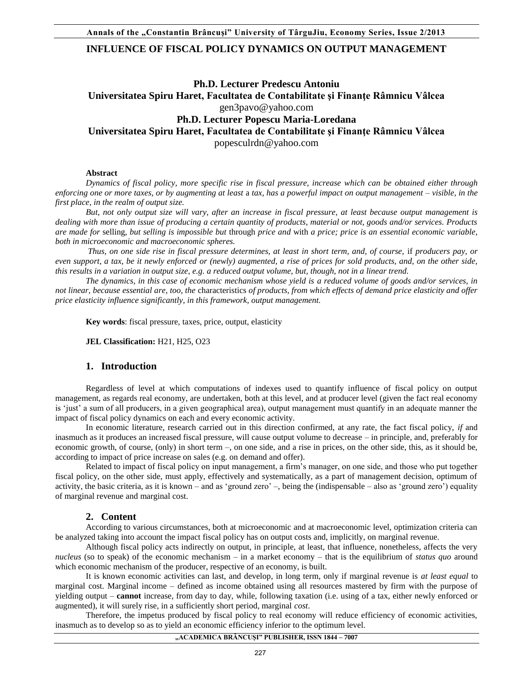# **INFLUENCE OF FISCAL POLICY DYNAMICS ON OUTPUT MANAGEMENT**

# **Ph.D. Lecturer Predescu Antoniu Universitatea Spiru Haret, Facultatea de Contabilitate şi Finanţe Râmnicu Vâlcea** [gen3pavo@yahoo.com](mailto:gen3pavo@yahoo.com)  **Ph.D. Lecturer Popescu Maria-Loredana Universitatea Spiru Haret, Facultatea de Contabilitate şi Finanţe Râmnicu Vâlcea** [popesculrdn@yahoo.com](mailto:popesculrdn@yahoo.com)

### **Abstract**

*Dynamics of fiscal policy, more specific rise in fiscal pressure, increase which can be obtained either through enforcing one or more taxes, or by augmenting at least* a *tax, has a powerful impact on output management – visible, in the first place, in the realm of output size.* 

*But, not only output size will vary, after an increase in fiscal pressure, at least because output management is dealing with more than issue of producing a certain quantity of products, material or not, goods and/or services. Products are made for* selling*, but selling is impossible but* through *price and* with *a price; price is an essential economic variable, both in microeconomic and macroeconomic spheres.* 

 *Thus, on one side rise in fiscal pressure determines, at least in short term, and, of course,* if *producers pay, or even support, a tax, be it newly enforced or (newly) augmented, a rise of prices for sold products, and, on the other side, this results in a variation in output size, e.g. a reduced output volume, but, though, not in a linear trend.* 

*The dynamics, in this case of economic mechanism whose yield is a reduced volume of goods and/or services, in not linear, because essential are, too, the* characteristics *of products, from which effects of demand price elasticity and offer price elasticity influence significantly, in this framework, output management.* 

**Key words**: fiscal pressure, taxes, price, output, elasticity

**JEL Classification:** H21, H25, O23

## **1. Introduction**

Regardless of level at which computations of indexes used to quantify influence of fiscal policy on output management, as regards real economy, are undertaken, both at this level, and at producer level (given the fact real economy is 'just' a sum of all producers, in a given geographical area), output management must quantify in an adequate manner the impact of fiscal policy dynamics on each and every economic activity.

In economic literature, research carried out in this direction confirmed, at any rate, the fact fiscal policy, *if* and inasmuch as it produces an increased fiscal pressure, will cause output volume to decrease – in principle, and, preferably for economic growth, of course, (only) in short term –, on one side, and a rise in prices, on the other side, this, as it should be, according to impact of price increase on sales (e.g. on demand and offer).

Related to impact of fiscal policy on input management, a firm's manager, on one side, and those who put together fiscal policy, on the other side, must apply, effectively and systematically, as a part of management decision, optimum of activity, the basic criteria, as it is known – and as 'ground zero' –, being the (indispensable – also as 'ground zero') equality of marginal revenue and marginal cost.

#### **2. Content**

According to various circumstances, both at microeconomic and at macroeconomic level, optimization criteria can be analyzed taking into account the impact fiscal policy has on output costs and, implicitly, on marginal revenue.

Although fiscal policy acts indirectly on output, in principle, at least, that influence, nonetheless, affects the very *nucleus* (so to speak) of the economic mechanism – in a market economy – that is the equilibrium of *status quo* around which economic mechanism of the producer, respective of an economy, is built.

It is known economic activities can last, and develop, in long term, only if marginal revenue is *at least equal* to marginal cost. Marginal income – defined as income obtained using all resources mastered by firm with the purpose of yielding output – **cannot** increase, from day to day, while, following taxation (i.e. using of a tax, either newly enforced or augmented), it will surely rise, in a sufficiently short period, marginal *cost*.

Therefore, the impetus produced by fiscal policy to real economy will reduce efficiency of economic activities, inasmuch as to develop so as to yield an economic efficiency inferior to the optimum level.

# **"ACADEMICA BRÂNCUŞI" PUBLISHER, ISSN 1844 – 7007**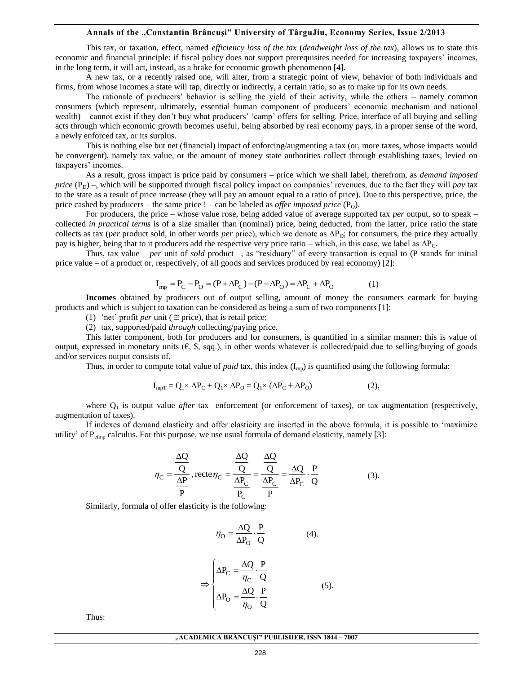#### **Annals of the "Constantin Brâncuşi" University of TârguJiu, Economy Series, Issue 2/2013**

This tax, or taxation, effect, named *efficiency loss of the tax* (*deadweight loss of the tax*), allows us to state this economic and financial principle: if fiscal policy does not support prerequisites needed for increasing taxpayers' incomes, in the long term, it will act, instead, as a brake for economic growth phenomenon [4].

A new tax, or a recently raised one, will alter, from a strategic point of view, behavior of both individuals and firms, from whose incomes a state will tap, directly or indirectly, a certain ratio, so as to make up for its own needs.

The rationale of producers' behavior is selling the yield of their activity, while the others – namely common consumers (which represent, ultimately, essential human component of producers' economic mechanism and national wealth) – cannot exist if they don't buy what producers' 'camp' offers for selling. Price, interface of all buying and selling acts through which economic growth becomes useful, being absorbed by real economy pays, in a proper sense of the word, a newly enforced tax, or its surplus.

This is nothing else but net (financial) impact of enforcing/augmenting a tax (or, more taxes, whose impacts would be convergent), namely tax value, or the amount of money state authorities collect through establishing taxes, levied on taxpayers' incomes.

As a result, gross impact is price paid by consumers – price which we shall label, therefrom, as *demand imposed price*  $(P_D)$  –, which will be supported through fiscal policy impact on companies' revenues, due to the fact they will *pay* tax to the state as a result of price increase (they will pay an amount equal to a ratio of price). Due to this perspective, price, the price cashed by producers – the same price  $!$  – can be labeled as *offer imposed price*  $(P_0)$ .

For producers, the price – whose value rose, being added value of average supported tax *per* output, so to speak – collected *in practical terms* is of a size smaller than (nominal) price, being deducted, from the latter, price ratio the state collects as tax (*per* product sold, in other words *per* price), which we denote as ΔPO; for consumers, the price they actually pay is higher, being that to it producers add the respective very price ratio – which, in this case, we label as  $\Delta P_C$ .

Thus, tax value – *per* unit of *sold* product –, as "residuary" of every transaction is equal to (P stands for initial price value – of a product or, respectively, of all goods and services produced by real economy) [2]:

$$
I_{mp} = P_C - P_O = (P + \Delta P_C) - (P - \Delta P_O) = \Delta P_C + \Delta P_O
$$
 (1)

**Incomes** obtained by producers out of output selling, amount of money the consumers earmark for buying products and which is subject to taxation can be considered as being a sum of two components [1]:

(1) 'net' profit *per* unit ( $\cong$  price), that is retail price;

(2) tax, supported/paid *through* collecting/paying price.

This latter component, both for producers and for consumers, is quantified in a similar manner: this is value of output, expressed in monetary units  $(\epsilon, \hat{s}, \text{sq}, \text{sq})$ , in other words whatever is collected/paid due to selling/buying of goods and/or services output consists of.

Thus, in order to compute total value of *paid* tax, this index (I<sub>mp</sub>) is quantified using the following formula:

$$
I_{mpT} = Q_1 \times \Delta P_C + Q_1 \times \Delta P_O = Q_1 \times (\Delta P_C + \Delta P_O)
$$
 (2),

where  $Q_1$  is output value *after* tax enforcement (or enforcement of taxes), or tax augmentation (respectively, augmentation of taxes).

If indexes of demand elasticity and offer elasticity are inserted in the above formula, it is possible to 'maximize utility' of  $P_{eimp}$  calculus. For this purpose, we use usual formula of demand elasticity, namely [3]:

$$
\eta_C = \frac{\frac{\Delta Q}{Q}}{\frac{\Delta P}{P}}, \text{rect} \quad \eta_C = \frac{\frac{\Delta Q}{Q}}{\frac{\Delta P_C}{P_C}} = \frac{\frac{\Delta Q}{Q}}{\frac{\Delta P_C}{P}} = \frac{\Delta Q}{\Delta P_C} \cdot \frac{P}{Q}
$$
(3).

Similarly, formula of offer elasticity is the following:

$$
\eta_{\rm O} = \frac{\Delta Q}{\Delta P_{\rm O}} \cdot \frac{P}{Q} \tag{4}
$$

$$
\Rightarrow \begin{cases} \Delta P_{\rm C} = \frac{\Delta Q}{\eta_{\rm C}} \cdot \frac{P}{Q} \\ \Delta P_{\rm O} = \frac{\Delta Q}{\eta_{\rm O}} \cdot \frac{P}{Q} \end{cases}
$$
 (5).

Thus: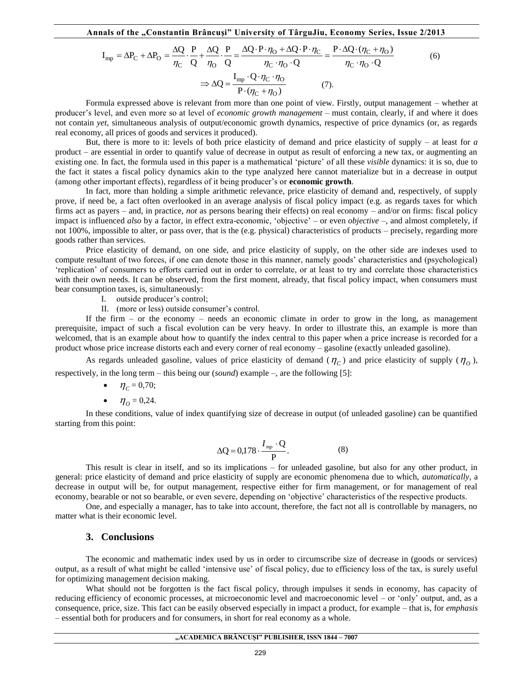**Annals of the "Constantin Brâncuşi" University of TârguJiu, Economy Series, Issue 2/2013**

and **of the**, Constantin Brañcuși" University of Târgulju, Economy Series, Issue 2/201.

\n
$$
I_{mp} = \Delta P_C + \Delta P_O = \frac{\Delta Q}{\eta_C} \cdot \frac{P}{Q} + \frac{\Delta Q}{\eta_O} \cdot \frac{P}{Q} = \frac{\Delta Q \cdot P \cdot \eta_O + \Delta Q \cdot P \cdot \eta_C}{\eta_C \cdot \eta_O \cdot Q} = \frac{P \cdot \Delta Q \cdot (\eta_C + \eta_O)}{\eta_C \cdot \eta_O \cdot Q} \tag{6}
$$
\n
$$
\Rightarrow \Delta Q = \frac{I_{mp} \cdot Q \cdot \eta_C \cdot \eta_O}{P \cdot (\eta_C + \eta_O)} \tag{7}
$$

Formula expressed above is relevant from more than one point of view. Firstly, output management – whether at producer's level, and even more so at level of *economic growth management* – must contain, clearly, if and where it does not contain *yet*, simultaneous analysis of output/economic growth dynamics, respective of price dynamics (or, as regards real economy, all prices of goods and services it produced).

But, there is more to it: levels of both price elasticity of demand and price elasticity of supply – at least for *a* product – are essential in order to quantify value of decrease in output as result of enforcing a new tax, or augmenting an existing one. In fact, the formula used in this paper is a mathematical 'picture' of all these *visible* dynamics: it is so, due to the fact it states a fiscal policy dynamics akin to the type analyzed here cannot materialize but in a decrease in output (among other important effects), regardless of it being producer's or **economic growth**.

**EVALUAT FOR A CANNET CONSULTERT** (**ACC**)  $\frac{1}{\sqrt{6}}$   $\frac{1}{\sqrt{6}}$   $\frac{1}{\sqrt{6}}$   $\frac{1}{\sqrt{6}}$   $\frac{1}{\sqrt{6}}$   $\frac{1}{\sqrt{6}}$   $\frac{1}{\sqrt{6}}$   $\frac{1}{\sqrt{6}}$   $\frac{1}{\sqrt{6}}$   $\frac{1}{\sqrt{6}}$   $\frac{1}{\sqrt{6}}$   $\frac{1}{\sqrt{6}}$   $\frac{1}{\sqrt{6}}$   $\frac{1}{\sqrt{6$ In fact, more than holding a simple arithmetic relevance, price elasticity of demand and, respectively, of supply prove, if need be, a fact often overlooked in an average analysis of fiscal policy impact (e.g. as regards taxes for which firms act as payers – and, in practice, *not* as persons bearing their effects) on real economy – and/or on firms: fiscal policy impact is influenced *also* by a factor, in effect extra-economic, 'objective' – or even *objective* –, and almost completely, if not 100%, impossible to alter, or pass over, that is the (e.g. physical) characteristics of products – precisely, regarding more goods rather than services.

Price elasticity of demand, on one side, and price elasticity of supply, on the other side are indexes used to compute resultant of two forces, if one can denote those in this manner, namely goods' characteristics and (psychological) 'replication' of consumers to efforts carried out in order to correlate, or at least to try and correlate those characteristics with their own needs. It can be observed, from the first moment, already, that fiscal policy impact, when consumers must bear consumption taxes, is, simultaneously:

I. outside producer's control;

II. (more or less) outside consumer's control.

If the firm – or the economy – needs an economic climate in order to grow in the long, as management prerequisite, impact of such a fiscal evolution can be very heavy. In order to illustrate this, an example is more than welcomed, that is an example about how to quantify the index central to this paper when a price increase is recorded for a product whose price increase distorts each and every corner of real economy – gasoline (exactly unleaded gasoline).

As regards unleaded gasoline, values of price elasticity of demand  $(\eta_c)$  and price elasticity of supply  $(\eta_o)$ , respectively, in the long term – this being our (*sound*) example –, are the following [5]:

- $\eta_c = 0.70;$
- $\eta_0 = 0.24$ .

In these conditions, value of index quantifying size of decrease in output (of unleaded gasoline) can be quantified starting from this point:

$$
\Delta Q = 0,178 \cdot \frac{I_{mp} \cdot Q}{P}.
$$
 (8)

This result is clear in itself, and so its implications – for unleaded gasoline, but also for any other product, in general: price elasticity of demand and price elasticity of supply are economic phenomena due to which, *automatically*, a decrease in output will be, for output management, respective either for firm management, or for management of real economy, bearable or not so bearable, or even severe, depending on 'objective' characteristics of the respective products.

One, and especially a manager, has to take into account, therefore, the fact not all is controllable by managers, no matter what is their economic level.

#### **3. Conclusions**

The economic and mathematic index used by us in order to circumscribe size of decrease in (goods or services) output, as a result of what might be called 'intensive use' of fiscal policy, due to efficiency loss of the tax, is surely useful for optimizing management decision making.

What should not be forgotten is the fact fiscal policy, through impulses it sends in economy, has capacity of reducing efficiency of economic processes, at microeconomic level and macroeconomic level – or 'only' output, and, as a consequence, price, size. This fact can be easily observed especially in impact a product, for example – that is, for *emphasis* – essential both for producers and for consumers, in short for real economy as a whole.